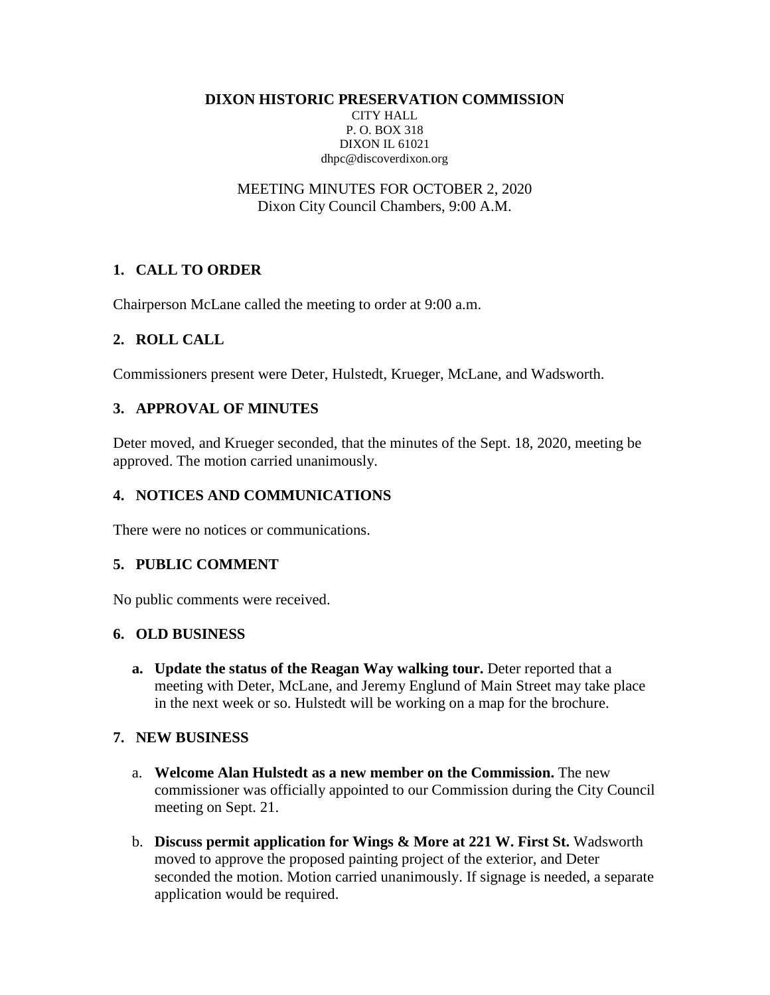**DIXON HISTORIC PRESERVATION COMMISSION**

CITY HALL P. O. BOX 318 DIXON IL 61021 dhpc@discoverdixon.org

MEETING MINUTES FOR OCTOBER 2, 2020 Dixon City Council Chambers, 9:00 A.M.

# **1. CALL TO ORDER**

Chairperson McLane called the meeting to order at 9:00 a.m.

## **2. ROLL CALL**

Commissioners present were Deter, Hulstedt, Krueger, McLane, and Wadsworth.

## **3. APPROVAL OF MINUTES**

Deter moved, and Krueger seconded, that the minutes of the Sept. 18, 2020, meeting be approved. The motion carried unanimously.

## **4. NOTICES AND COMMUNICATIONS**

There were no notices or communications.

#### **5. PUBLIC COMMENT**

No public comments were received.

## **6. OLD BUSINESS**

**a. Update the status of the Reagan Way walking tour.** Deter reported that a meeting with Deter, McLane, and Jeremy Englund of Main Street may take place in the next week or so. Hulstedt will be working on a map for the brochure.

## **7. NEW BUSINESS**

- a. **Welcome Alan Hulstedt as a new member on the Commission.** The new commissioner was officially appointed to our Commission during the City Council meeting on Sept. 21.
- b. **Discuss permit application for Wings & More at 221 W. First St.** Wadsworth moved to approve the proposed painting project of the exterior, and Deter seconded the motion. Motion carried unanimously. If signage is needed, a separate application would be required.